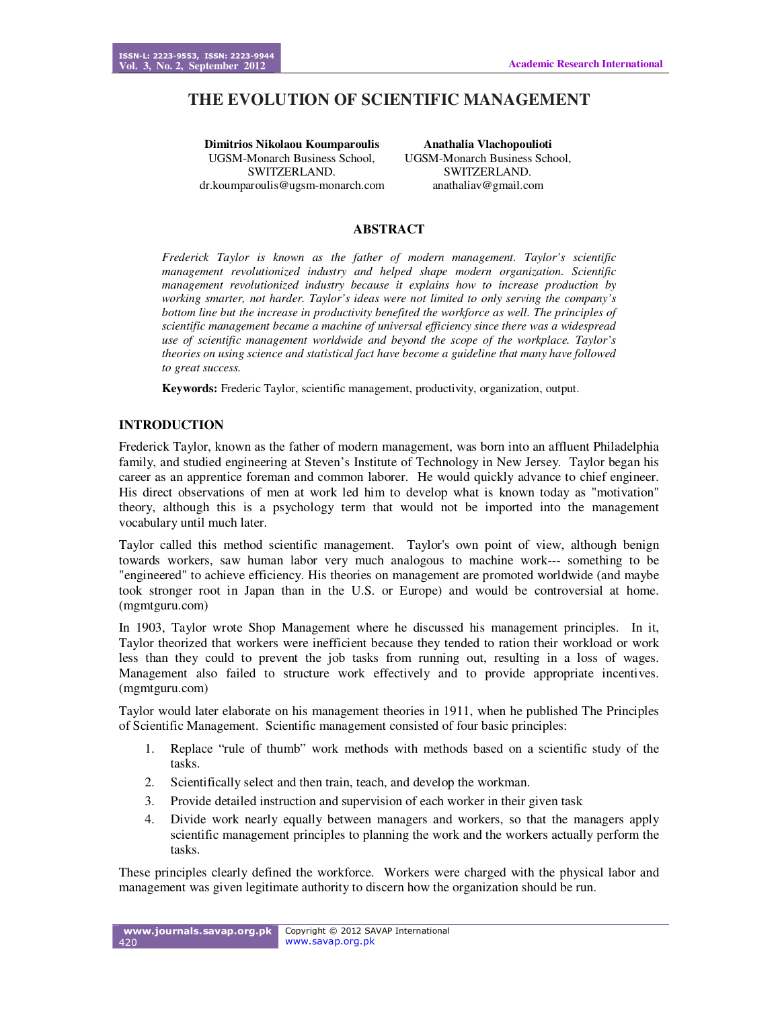# **THE EVOLUTION OF SCIENTIFIC MANAGEMENT**

**Dimitrios Nikolaou Koumparoulis**  UGSM-Monarch Business School, SWITZERLAND. dr.koumparoulis@ugsm-monarch.com

**Anathalia Vlachopoulioti**  UGSM-Monarch Business School, SWITZERLAND. anathaliav@gmail.com

# **ABSTRACT**

*Frederick Taylor is known as the father of modern management. Taylor's scientific management revolutionized industry and helped shape modern organization. Scientific management revolutionized industry because it explains how to increase production by working smarter, not harder. Taylor's ideas were not limited to only serving the company's bottom line but the increase in productivity benefited the workforce as well. The principles of scientific management became a machine of universal efficiency since there was a widespread use of scientific management worldwide and beyond the scope of the workplace. Taylor's theories on using science and statistical fact have become a guideline that many have followed to great success.*

**Keywords:** Frederic Taylor, scientific management, productivity, organization, output.

# **INTRODUCTION**

Frederick Taylor, known as the father of modern management, was born into an affluent Philadelphia family, and studied engineering at Steven's Institute of Technology in New Jersey. Taylor began his career as an apprentice foreman and common laborer. He would quickly advance to chief engineer. His direct observations of men at work led him to develop what is known today as "motivation" theory, although this is a psychology term that would not be imported into the management vocabulary until much later.

Taylor called this method scientific management. Taylor's own point of view, although benign towards workers, saw human labor very much analogous to machine work--- something to be "engineered" to achieve efficiency. His theories on management are promoted worldwide (and maybe took stronger root in Japan than in the U.S. or Europe) and would be controversial at home. (mgmtguru.com)

In 1903, Taylor wrote Shop Management where he discussed his management principles. In it, Taylor theorized that workers were inefficient because they tended to ration their workload or work less than they could to prevent the job tasks from running out, resulting in a loss of wages. Management also failed to structure work effectively and to provide appropriate incentives. (mgmtguru.com)

Taylor would later elaborate on his management theories in 1911, when he published The Principles of Scientific Management. Scientific management consisted of four basic principles:

- 1. Replace "rule of thumb" work methods with methods based on a scientific study of the tasks.
- 2. Scientifically select and then train, teach, and develop the workman.
- 3. Provide detailed instruction and supervision of each worker in their given task
- 4. Divide work nearly equally between managers and workers, so that the managers apply scientific management principles to planning the work and the workers actually perform the tasks.

These principles clearly defined the workforce. Workers were charged with the physical labor and management was given legitimate authority to discern how the organization should be run.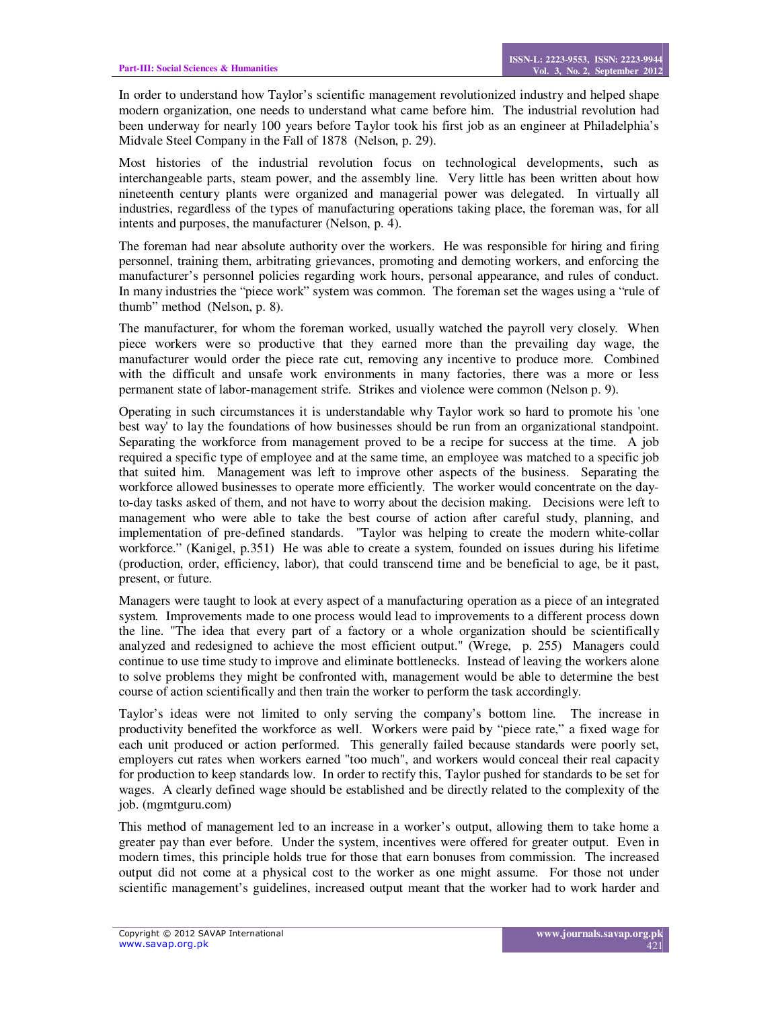In order to understand how Taylor's scientific management revolutionized industry and helped shape modern organization, one needs to understand what came before him. The industrial revolution had been underway for nearly 100 years before Taylor took his first job as an engineer at Philadelphia's Midvale Steel Company in the Fall of 1878 (Nelson, p. 29).

Most histories of the industrial revolution focus on technological developments, such as interchangeable parts, steam power, and the assembly line. Very little has been written about how nineteenth century plants were organized and managerial power was delegated. In virtually all industries, regardless of the types of manufacturing operations taking place, the foreman was, for all intents and purposes, the manufacturer (Nelson, p. 4).

The foreman had near absolute authority over the workers. He was responsible for hiring and firing personnel, training them, arbitrating grievances, promoting and demoting workers, and enforcing the manufacturer's personnel policies regarding work hours, personal appearance, and rules of conduct. In many industries the "piece work" system was common. The foreman set the wages using a "rule of thumb" method (Nelson, p. 8).

The manufacturer, for whom the foreman worked, usually watched the payroll very closely. When piece workers were so productive that they earned more than the prevailing day wage, the manufacturer would order the piece rate cut, removing any incentive to produce more. Combined with the difficult and unsafe work environments in many factories, there was a more or less permanent state of labor-management strife. Strikes and violence were common (Nelson p. 9).

Operating in such circumstances it is understandable why Taylor work so hard to promote his 'one best way' to lay the foundations of how businesses should be run from an organizational standpoint. Separating the workforce from management proved to be a recipe for success at the time. A job required a specific type of employee and at the same time, an employee was matched to a specific job that suited him. Management was left to improve other aspects of the business. Separating the workforce allowed businesses to operate more efficiently. The worker would concentrate on the dayto-day tasks asked of them, and not have to worry about the decision making. Decisions were left to management who were able to take the best course of action after careful study, planning, and implementation of pre-defined standards. "Taylor was helping to create the modern white-collar workforce." (Kanigel, p.351) He was able to create a system, founded on issues during his lifetime (production, order, efficiency, labor), that could transcend time and be beneficial to age, be it past, present, or future.

Managers were taught to look at every aspect of a manufacturing operation as a piece of an integrated system. Improvements made to one process would lead to improvements to a different process down the line. "The idea that every part of a factory or a whole organization should be scientifically analyzed and redesigned to achieve the most efficient output." (Wrege, p. 255) Managers could continue to use time study to improve and eliminate bottlenecks. Instead of leaving the workers alone to solve problems they might be confronted with, management would be able to determine the best course of action scientifically and then train the worker to perform the task accordingly.

Taylor's ideas were not limited to only serving the company's bottom line. The increase in productivity benefited the workforce as well. Workers were paid by "piece rate," a fixed wage for each unit produced or action performed. This generally failed because standards were poorly set, employers cut rates when workers earned "too much", and workers would conceal their real capacity for production to keep standards low. In order to rectify this, Taylor pushed for standards to be set for wages. A clearly defined wage should be established and be directly related to the complexity of the job. (mgmtguru.com)

This method of management led to an increase in a worker's output, allowing them to take home a greater pay than ever before. Under the system, incentives were offered for greater output. Even in modern times, this principle holds true for those that earn bonuses from commission. The increased output did not come at a physical cost to the worker as one might assume. For those not under scientific management's guidelines, increased output meant that the worker had to work harder and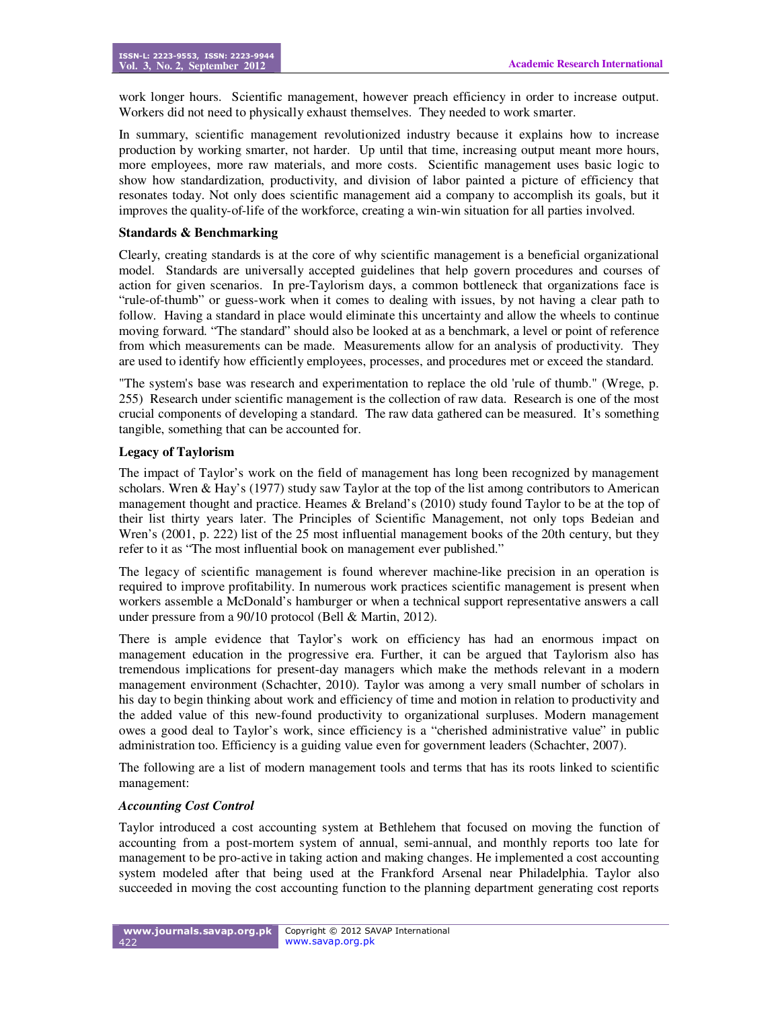work longer hours. Scientific management, however preach efficiency in order to increase output. Workers did not need to physically exhaust themselves. They needed to work smarter.

In summary, scientific management revolutionized industry because it explains how to increase production by working smarter, not harder. Up until that time, increasing output meant more hours, more employees, more raw materials, and more costs. Scientific management uses basic logic to show how standardization, productivity, and division of labor painted a picture of efficiency that resonates today. Not only does scientific management aid a company to accomplish its goals, but it improves the quality-of-life of the workforce, creating a win-win situation for all parties involved.

# **Standards & Benchmarking**

Clearly, creating standards is at the core of why scientific management is a beneficial organizational model. Standards are universally accepted guidelines that help govern procedures and courses of action for given scenarios. In pre-Taylorism days, a common bottleneck that organizations face is "rule-of-thumb" or guess-work when it comes to dealing with issues, by not having a clear path to follow. Having a standard in place would eliminate this uncertainty and allow the wheels to continue moving forward. "The standard" should also be looked at as a benchmark, a level or point of reference from which measurements can be made. Measurements allow for an analysis of productivity. They are used to identify how efficiently employees, processes, and procedures met or exceed the standard.

"The system's base was research and experimentation to replace the old 'rule of thumb." (Wrege, p. 255) Research under scientific management is the collection of raw data. Research is one of the most crucial components of developing a standard. The raw data gathered can be measured. It's something tangible, something that can be accounted for.

#### **Legacy of Taylorism**

The impact of Taylor's work on the field of management has long been recognized by management scholars. Wren & Hay's (1977) study saw Taylor at the top of the list among contributors to American management thought and practice. Heames & Breland's (2010) study found Taylor to be at the top of their list thirty years later. The Principles of Scientific Management, not only tops Bedeian and Wren's (2001, p. 222) list of the 25 most influential management books of the 20th century, but they refer to it as "The most influential book on management ever published."

The legacy of scientific management is found wherever machine-like precision in an operation is required to improve profitability. In numerous work practices scientific management is present when workers assemble a McDonald's hamburger or when a technical support representative answers a call under pressure from a 90/10 protocol (Bell & Martin, 2012).

There is ample evidence that Taylor's work on efficiency has had an enormous impact on management education in the progressive era. Further, it can be argued that Taylorism also has tremendous implications for present-day managers which make the methods relevant in a modern management environment (Schachter, 2010). Taylor was among a very small number of scholars in his day to begin thinking about work and efficiency of time and motion in relation to productivity and the added value of this new-found productivity to organizational surpluses. Modern management owes a good deal to Taylor's work, since efficiency is a "cherished administrative value" in public administration too. Efficiency is a guiding value even for government leaders (Schachter, 2007).

The following are a list of modern management tools and terms that has its roots linked to scientific management:

#### *Accounting Cost Control*

Taylor introduced a cost accounting system at Bethlehem that focused on moving the function of accounting from a post-mortem system of annual, semi-annual, and monthly reports too late for management to be pro-active in taking action and making changes. He implemented a cost accounting system modeled after that being used at the Frankford Arsenal near Philadelphia. Taylor also succeeded in moving the cost accounting function to the planning department generating cost reports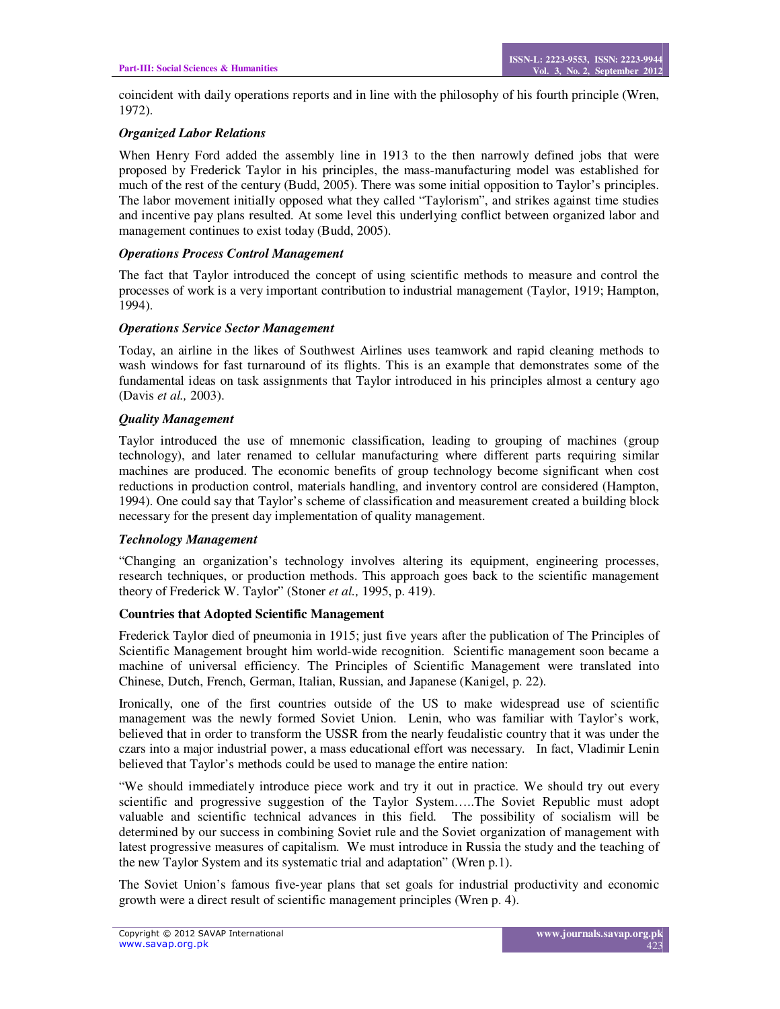coincident with daily operations reports and in line with the philosophy of his fourth principle (Wren, 1972).

## *Organized Labor Relations*

When Henry Ford added the assembly line in 1913 to the then narrowly defined jobs that were proposed by Frederick Taylor in his principles, the mass-manufacturing model was established for much of the rest of the century (Budd, 2005). There was some initial opposition to Taylor's principles. The labor movement initially opposed what they called "Taylorism", and strikes against time studies and incentive pay plans resulted. At some level this underlying conflict between organized labor and management continues to exist today (Budd, 2005).

#### *Operations Process Control Management*

The fact that Taylor introduced the concept of using scientific methods to measure and control the processes of work is a very important contribution to industrial management (Taylor, 1919; Hampton, 1994).

#### *Operations Service Sector Management*

Today, an airline in the likes of Southwest Airlines uses teamwork and rapid cleaning methods to wash windows for fast turnaround of its flights. This is an example that demonstrates some of the fundamental ideas on task assignments that Taylor introduced in his principles almost a century ago (Davis *et al.,* 2003).

#### *Quality Management*

Taylor introduced the use of mnemonic classification, leading to grouping of machines (group technology), and later renamed to cellular manufacturing where different parts requiring similar machines are produced. The economic benefits of group technology become significant when cost reductions in production control, materials handling, and inventory control are considered (Hampton, 1994). One could say that Taylor's scheme of classification and measurement created a building block necessary for the present day implementation of quality management.

# *Technology Management*

"Changing an organization's technology involves altering its equipment, engineering processes, research techniques, or production methods. This approach goes back to the scientific management theory of Frederick W. Taylor" (Stoner *et al.,* 1995, p. 419).

# **Countries that Adopted Scientific Management**

Frederick Taylor died of pneumonia in 1915; just five years after the publication of The Principles of Scientific Management brought him world-wide recognition. Scientific management soon became a machine of universal efficiency. The Principles of Scientific Management were translated into Chinese, Dutch, French, German, Italian, Russian, and Japanese (Kanigel, p. 22).

Ironically, one of the first countries outside of the US to make widespread use of scientific management was the newly formed Soviet Union. Lenin, who was familiar with Taylor's work, believed that in order to transform the USSR from the nearly feudalistic country that it was under the czars into a major industrial power, a mass educational effort was necessary. In fact, Vladimir Lenin believed that Taylor's methods could be used to manage the entire nation:

"We should immediately introduce piece work and try it out in practice. We should try out every scientific and progressive suggestion of the Taylor System…..The Soviet Republic must adopt valuable and scientific technical advances in this field. The possibility of socialism will be determined by our success in combining Soviet rule and the Soviet organization of management with latest progressive measures of capitalism. We must introduce in Russia the study and the teaching of the new Taylor System and its systematic trial and adaptation" (Wren p.1).

The Soviet Union's famous five-year plans that set goals for industrial productivity and economic growth were a direct result of scientific management principles (Wren p. 4).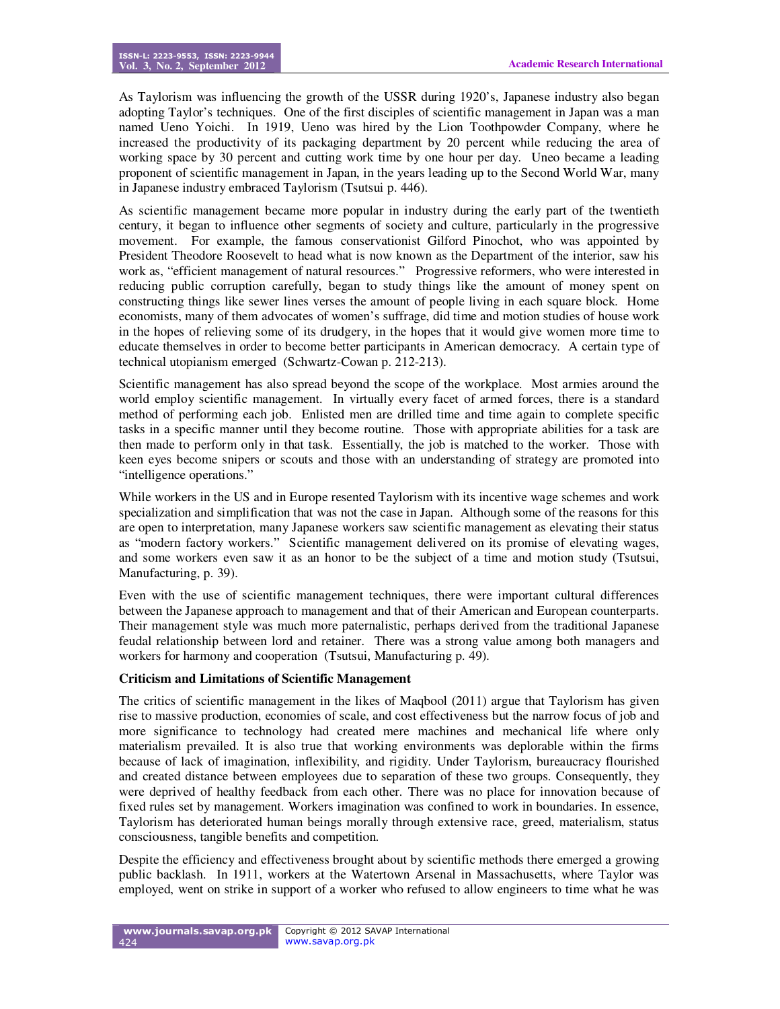As Taylorism was influencing the growth of the USSR during 1920's, Japanese industry also began adopting Taylor's techniques. One of the first disciples of scientific management in Japan was a man named Ueno Yoichi. In 1919, Ueno was hired by the Lion Toothpowder Company, where he increased the productivity of its packaging department by 20 percent while reducing the area of working space by 30 percent and cutting work time by one hour per day. Uneo became a leading proponent of scientific management in Japan, in the years leading up to the Second World War, many in Japanese industry embraced Taylorism (Tsutsui p. 446).

As scientific management became more popular in industry during the early part of the twentieth century, it began to influence other segments of society and culture, particularly in the progressive movement. For example, the famous conservationist Gilford Pinochot, who was appointed by President Theodore Roosevelt to head what is now known as the Department of the interior, saw his work as, "efficient management of natural resources." Progressive reformers, who were interested in reducing public corruption carefully, began to study things like the amount of money spent on constructing things like sewer lines verses the amount of people living in each square block. Home economists, many of them advocates of women's suffrage, did time and motion studies of house work in the hopes of relieving some of its drudgery, in the hopes that it would give women more time to educate themselves in order to become better participants in American democracy. A certain type of technical utopianism emerged (Schwartz-Cowan p. 212-213).

Scientific management has also spread beyond the scope of the workplace. Most armies around the world employ scientific management. In virtually every facet of armed forces, there is a standard method of performing each job. Enlisted men are drilled time and time again to complete specific tasks in a specific manner until they become routine. Those with appropriate abilities for a task are then made to perform only in that task. Essentially, the job is matched to the worker. Those with keen eyes become snipers or scouts and those with an understanding of strategy are promoted into "intelligence operations."

While workers in the US and in Europe resented Taylorism with its incentive wage schemes and work specialization and simplification that was not the case in Japan. Although some of the reasons for this are open to interpretation, many Japanese workers saw scientific management as elevating their status as "modern factory workers." Scientific management delivered on its promise of elevating wages, and some workers even saw it as an honor to be the subject of a time and motion study (Tsutsui, Manufacturing, p. 39).

Even with the use of scientific management techniques, there were important cultural differences between the Japanese approach to management and that of their American and European counterparts. Their management style was much more paternalistic, perhaps derived from the traditional Japanese feudal relationship between lord and retainer. There was a strong value among both managers and workers for harmony and cooperation (Tsutsui, Manufacturing p. 49).

#### **Criticism and Limitations of Scientific Management**

The critics of scientific management in the likes of Maqbool (2011) argue that Taylorism has given rise to massive production, economies of scale, and cost effectiveness but the narrow focus of job and more significance to technology had created mere machines and mechanical life where only materialism prevailed. It is also true that working environments was deplorable within the firms because of lack of imagination, inflexibility, and rigidity. Under Taylorism, bureaucracy flourished and created distance between employees due to separation of these two groups. Consequently, they were deprived of healthy feedback from each other. There was no place for innovation because of fixed rules set by management. Workers imagination was confined to work in boundaries. In essence, Taylorism has deteriorated human beings morally through extensive race, greed, materialism, status consciousness, tangible benefits and competition.

Despite the efficiency and effectiveness brought about by scientific methods there emerged a growing public backlash. In 1911, workers at the Watertown Arsenal in Massachusetts, where Taylor was employed, went on strike in support of a worker who refused to allow engineers to time what he was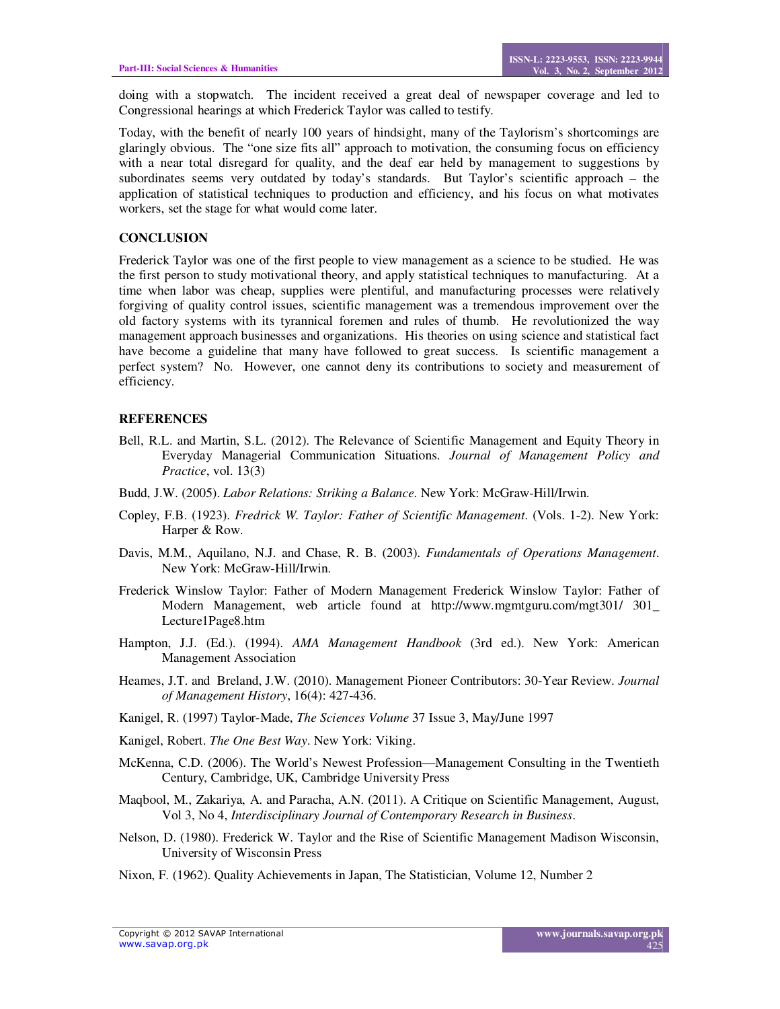doing with a stopwatch. The incident received a great deal of newspaper coverage and led to Congressional hearings at which Frederick Taylor was called to testify.

Today, with the benefit of nearly 100 years of hindsight, many of the Taylorism's shortcomings are glaringly obvious. The "one size fits all" approach to motivation, the consuming focus on efficiency with a near total disregard for quality, and the deaf ear held by management to suggestions by subordinates seems very outdated by today's standards. But Taylor's scientific approach – the application of statistical techniques to production and efficiency, and his focus on what motivates workers, set the stage for what would come later.

## **CONCLUSION**

Frederick Taylor was one of the first people to view management as a science to be studied. He was the first person to study motivational theory, and apply statistical techniques to manufacturing. At a time when labor was cheap, supplies were plentiful, and manufacturing processes were relatively forgiving of quality control issues, scientific management was a tremendous improvement over the old factory systems with its tyrannical foremen and rules of thumb. He revolutionized the way management approach businesses and organizations. His theories on using science and statistical fact have become a guideline that many have followed to great success. Is scientific management a perfect system? No. However, one cannot deny its contributions to society and measurement of efficiency.

#### **REFERENCES**

- Bell, R.L. and Martin, S.L. (2012). The Relevance of Scientific Management and Equity Theory in Everyday Managerial Communication Situations. *Journal of Management Policy and Practice*, vol. 13(3)
- Budd, J.W. (2005). *Labor Relations: Striking a Balance*. New York: McGraw-Hill/Irwin.
- Copley, F.B. (1923). *Fredrick W. Taylor: Father of Scientific Management*. (Vols. 1-2). New York: Harper & Row.
- Davis, M.M., Aquilano, N.J. and Chase, R. B. (2003). *Fundamentals of Operations Management*. New York: McGraw-Hill/Irwin.
- Frederick Winslow Taylor: Father of Modern Management Frederick Winslow Taylor: Father of Modern Management, web article found at http://www.mgmtguru.com/mgt301/ 301\_ Lecture1Page8.htm
- Hampton, J.J. (Ed.). (1994). *AMA Management Handbook* (3rd ed.). New York: American Management Association
- Heames, J.T. and Breland, J.W. (2010). Management Pioneer Contributors: 30-Year Review. *Journal of Management History*, 16(4): 427-436.
- Kanigel, R. (1997) Taylor-Made, *The Sciences Volume* 37 Issue 3, May/June 1997
- Kanigel, Robert. *The One Best Way*. New York: Viking.
- McKenna, C.D. (2006). The World's Newest Profession—Management Consulting in the Twentieth Century, Cambridge, UK, Cambridge University Press
- Maqbool, M., Zakariya, A. and Paracha, A.N. (2011). A Critique on Scientific Management, August, Vol 3, No 4, *Interdisciplinary Journal of Contemporary Research in Business*.
- Nelson, D. (1980). Frederick W. Taylor and the Rise of Scientific Management Madison Wisconsin, University of Wisconsin Press
- Nixon, F. (1962). Quality Achievements in Japan, The Statistician, Volume 12, Number 2